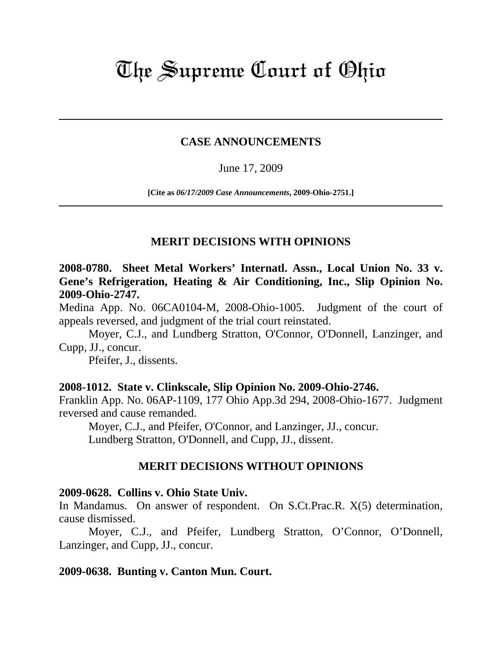# The Supreme Court of Ohio

# **CASE ANNOUNCEMENTS**

# June 17, 2009

**[Cite as** *06/17/2009 Case Announcements***, 2009-Ohio-2751.]**

# **MERIT DECISIONS WITH OPINIONS**

**2008-0780. Sheet Metal Workers' Internatl. Assn., Local Union No. 33 v. Gene's Refrigeration, Heating & Air Conditioning, Inc., Slip Opinion No. 2009-Ohio-2747.** 

Medina App. No. 06CA0104-M, 2008-Ohio-1005. Judgment of the court of appeals reversed, and judgment of the trial court reinstated.

Moyer, C.J., and Lundberg Stratton, O'Connor, O'Donnell, Lanzinger, and Cupp, JJ., concur.

Pfeifer, J., dissents.

# **2008-1012. State v. Clinkscale, Slip Opinion No. 2009-Ohio-2746.**

Franklin App. No. 06AP-1109, 177 Ohio App.3d 294, 2008-Ohio-1677. Judgment reversed and cause remanded.

Moyer, C.J., and Pfeifer, O'Connor, and Lanzinger, JJ., concur. Lundberg Stratton, O'Donnell, and Cupp, JJ., dissent.

# **MERIT DECISIONS WITHOUT OPINIONS**

#### **2009-0628. Collins v. Ohio State Univ.**

In Mandamus. On answer of respondent. On S.Ct.Prac.R. X(5) determination, cause dismissed.

 Moyer, C.J., and Pfeifer, Lundberg Stratton, O'Connor, O'Donnell, Lanzinger, and Cupp, JJ., concur.

# **2009-0638. Bunting v. Canton Mun. Court.**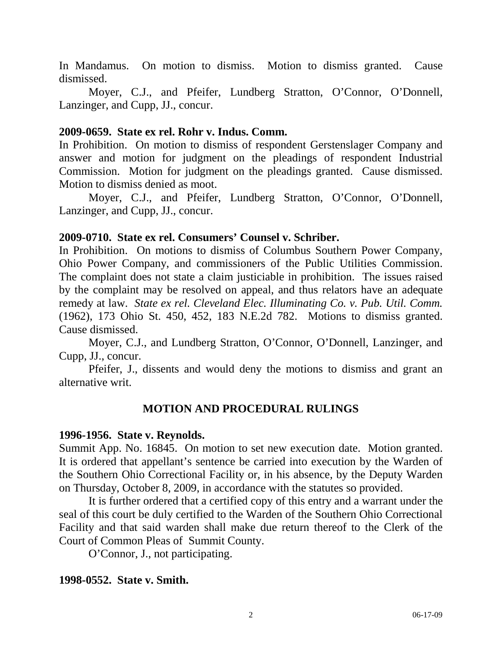In Mandamus. On motion to dismiss. Motion to dismiss granted. Cause dismissed.

 Moyer, C.J., and Pfeifer, Lundberg Stratton, O'Connor, O'Donnell, Lanzinger, and Cupp, JJ., concur.

#### **2009-0659. State ex rel. Rohr v. Indus. Comm.**

In Prohibition. On motion to dismiss of respondent Gerstenslager Company and answer and motion for judgment on the pleadings of respondent Industrial Commission. Motion for judgment on the pleadings granted. Cause dismissed. Motion to dismiss denied as moot.

 Moyer, C.J., and Pfeifer, Lundberg Stratton, O'Connor, O'Donnell, Lanzinger, and Cupp, JJ., concur.

#### **2009-0710. State ex rel. Consumers' Counsel v. Schriber.**

In Prohibition. On motions to dismiss of Columbus Southern Power Company, Ohio Power Company, and commissioners of the Public Utilities Commission. The complaint does not state a claim justiciable in prohibition. The issues raised by the complaint may be resolved on appeal, and thus relators have an adequate remedy at law. *State ex rel. Cleveland Elec. Illuminating Co. v. Pub. Util. Comm.*  (1962), 173 Ohio St. 450, 452, 183 N.E.2d 782. Motions to dismiss granted. Cause dismissed.

 Moyer, C.J., and Lundberg Stratton, O'Connor, O'Donnell, Lanzinger, and Cupp, JJ., concur.

 Pfeifer, J., dissents and would deny the motions to dismiss and grant an alternative writ.

# **MOTION AND PROCEDURAL RULINGS**

#### **1996-1956. State v. Reynolds.**

Summit App. No. 16845. On motion to set new execution date. Motion granted. It is ordered that appellant's sentence be carried into execution by the Warden of the Southern Ohio Correctional Facility or, in his absence, by the Deputy Warden on Thursday, October 8, 2009, in accordance with the statutes so provided.

It is further ordered that a certified copy of this entry and a warrant under the seal of this court be duly certified to the Warden of the Southern Ohio Correctional Facility and that said warden shall make due return thereof to the Clerk of the Court of Common Pleas of Summit County.

O'Connor, J., not participating.

# **1998-0552. State v. Smith.**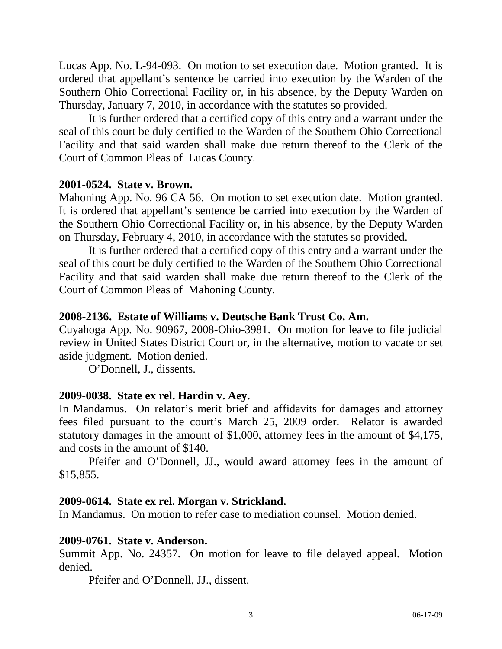Lucas App. No. L-94-093. On motion to set execution date. Motion granted. It is ordered that appellant's sentence be carried into execution by the Warden of the Southern Ohio Correctional Facility or, in his absence, by the Deputy Warden on Thursday, January 7, 2010, in accordance with the statutes so provided.

It is further ordered that a certified copy of this entry and a warrant under the seal of this court be duly certified to the Warden of the Southern Ohio Correctional Facility and that said warden shall make due return thereof to the Clerk of the Court of Common Pleas of Lucas County.

#### **2001-0524. State v. Brown.**

Mahoning App. No. 96 CA 56. On motion to set execution date. Motion granted. It is ordered that appellant's sentence be carried into execution by the Warden of the Southern Ohio Correctional Facility or, in his absence, by the Deputy Warden on Thursday, February 4, 2010, in accordance with the statutes so provided.

It is further ordered that a certified copy of this entry and a warrant under the seal of this court be duly certified to the Warden of the Southern Ohio Correctional Facility and that said warden shall make due return thereof to the Clerk of the Court of Common Pleas of Mahoning County.

#### **2008-2136. Estate of Williams v. Deutsche Bank Trust Co. Am.**

Cuyahoga App. No. 90967, 2008-Ohio-3981. On motion for leave to file judicial review in United States District Court or, in the alternative, motion to vacate or set aside judgment. Motion denied.

O'Donnell, J., dissents.

# **2009-0038. State ex rel. Hardin v. Aey.**

In Mandamus. On relator's merit brief and affidavits for damages and attorney fees filed pursuant to the court's March 25, 2009 order. Relator is awarded statutory damages in the amount of \$1,000, attorney fees in the amount of \$4,175, and costs in the amount of \$140.

 Pfeifer and O'Donnell, JJ., would award attorney fees in the amount of \$15,855.

# **2009-0614. State ex rel. Morgan v. Strickland.**

In Mandamus. On motion to refer case to mediation counsel. Motion denied.

#### **2009-0761. State v. Anderson.**

Summit App. No. 24357. On motion for leave to file delayed appeal. Motion denied.

Pfeifer and O'Donnell, JJ., dissent.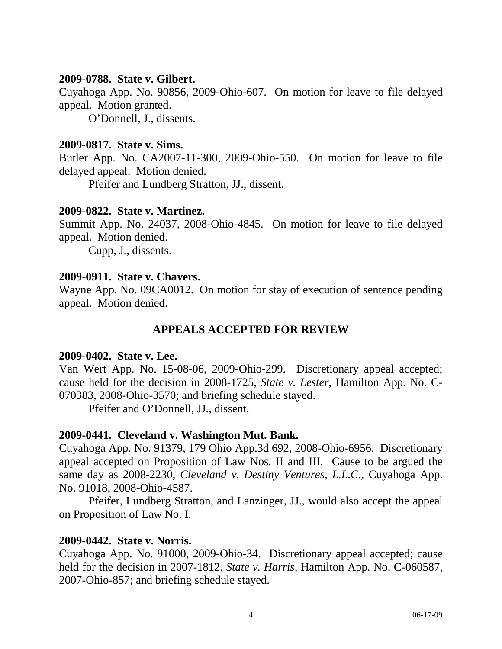#### **2009-0788. State v. Gilbert.**

Cuyahoga App. No. 90856, 2009-Ohio-607. On motion for leave to file delayed appeal. Motion granted.

O'Donnell, J., dissents.

## **2009-0817. State v. Sims.**

Butler App. No. CA2007-11-300, 2009-Ohio-550. On motion for leave to file delayed appeal. Motion denied.

Pfeifer and Lundberg Stratton, JJ., dissent.

# **2009-0822. State v. Martinez.**

Summit App. No. 24037, 2008-Ohio-4845. On motion for leave to file delayed appeal. Motion denied.

Cupp, J., dissents.

#### **2009-0911. State v. Chavers.**

Wayne App. No. 09CA0012. On motion for stay of execution of sentence pending appeal. Motion denied.

# **APPEALS ACCEPTED FOR REVIEW**

#### **2009-0402. State v. Lee.**

Van Wert App. No. 15-08-06, 2009-Ohio-299. Discretionary appeal accepted; cause held for the decision in 2008-1725, *State v. Lester,* Hamilton App. No. C-070383, 2008-Ohio-3570; and briefing schedule stayed.

Pfeifer and O'Donnell, JJ., dissent.

# **2009-0441. Cleveland v. Washington Mut. Bank.**

Cuyahoga App. No. 91379, 179 Ohio App.3d 692, 2008-Ohio-6956. Discretionary appeal accepted on Proposition of Law Nos. II and III. Cause to be argued the same day as 2008-2230, *Cleveland v. Destiny Ventures, L.L.C.,* Cuyahoga App. No. 91018, 2008-Ohio-4587.

 Pfeifer, Lundberg Stratton, and Lanzinger, JJ., would also accept the appeal on Proposition of Law No. I.

#### **2009-0442. State v. Norris.**

Cuyahoga App. No. 91000, 2009-Ohio-34. Discretionary appeal accepted; cause held for the decision in 2007-1812, *State v. Harris*, Hamilton App. No. C-060587, 2007-Ohio-857; and briefing schedule stayed.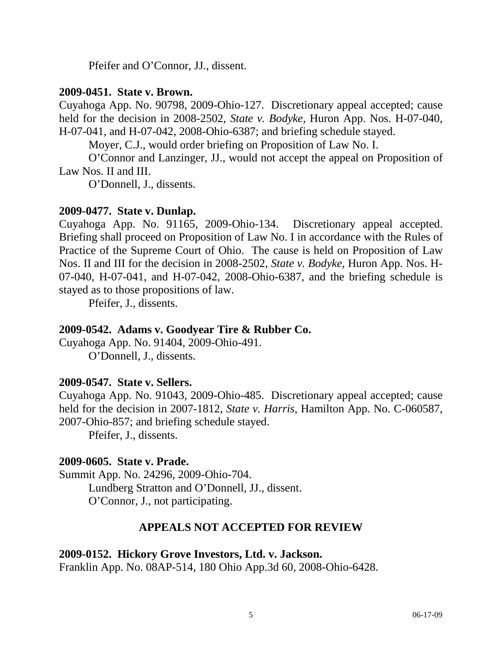Pfeifer and O'Connor, JJ., dissent.

#### **2009-0451. State v. Brown.**

Cuyahoga App. No. 90798, 2009-Ohio-127. Discretionary appeal accepted; cause held for the decision in 2008-2502, *State v. Bodyke,* Huron App. Nos. H-07-040, H-07-041, and H-07-042, 2008-Ohio-6387; and briefing schedule stayed.

Moyer, C.J., would order briefing on Proposition of Law No. I.

 O'Connor and Lanzinger, JJ., would not accept the appeal on Proposition of Law Nos. II and III.

O'Donnell, J., dissents.

# **2009-0477. State v. Dunlap.**

Cuyahoga App. No. 91165, 2009-Ohio-134. Discretionary appeal accepted. Briefing shall proceed on Proposition of Law No. I in accordance with the Rules of Practice of the Supreme Court of Ohio. The cause is held on Proposition of Law Nos. II and III for the decision in 2008-2502, *State v. Bodyke,* Huron App. Nos. H-07-040, H-07-041, and H-07-042, 2008-Ohio-6387, and the briefing schedule is stayed as to those propositions of law.

Pfeifer, J., dissents.

# **2009-0542. Adams v. Goodyear Tire & Rubber Co.**

Cuyahoga App. No. 91404, 2009-Ohio-491. O'Donnell, J., dissents.

# **2009-0547. State v. Sellers.**

Cuyahoga App. No. 91043, 2009-Ohio-485. Discretionary appeal accepted; cause held for the decision in 2007-1812, *State v. Harris*, Hamilton App. No. C-060587, 2007-Ohio-857; and briefing schedule stayed.

Pfeifer, J., dissents.

# **2009-0605. State v. Prade.**

Summit App. No. 24296, 2009-Ohio-704. Lundberg Stratton and O'Donnell, JJ., dissent. O'Connor, J., not participating.

# **APPEALS NOT ACCEPTED FOR REVIEW**

# **2009-0152. Hickory Grove Investors, Ltd. v. Jackson.**

Franklin App. No. 08AP-514, 180 Ohio App.3d 60, 2008-Ohio-6428.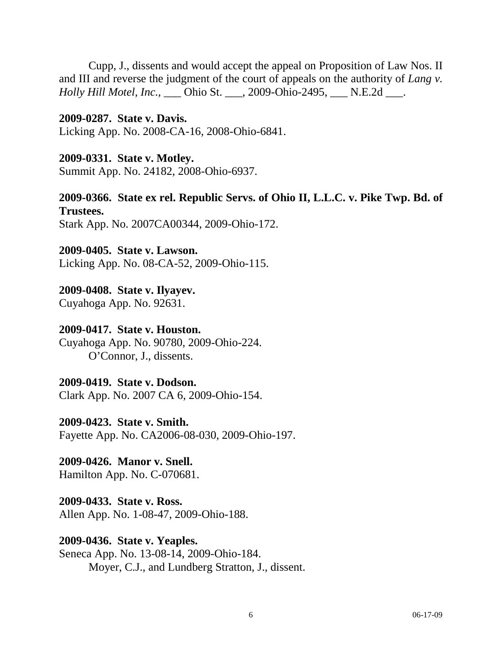Cupp, J., dissents and would accept the appeal on Proposition of Law Nos. II and III and reverse the judgment of the court of appeals on the authority of *Lang v. Holly Hill Motel, Inc.,* \_\_\_ Ohio St. \_\_\_, 2009-Ohio-2495, \_\_\_ N.E.2d \_\_\_.

#### **2009-0287. State v. Davis.**

Licking App. No. 2008-CA-16, 2008-Ohio-6841.

#### **2009-0331. State v. Motley.**

Summit App. No. 24182, 2008-Ohio-6937.

#### **2009-0366. State ex rel. Republic Servs. of Ohio II, L.L.C. v. Pike Twp. Bd. of Trustees.**

Stark App. No. 2007CA00344, 2009-Ohio-172.

#### **2009-0405. State v. Lawson.**

Licking App. No. 08-CA-52, 2009-Ohio-115.

# **2009-0408. State v. Ilyayev.**

Cuyahoga App. No. 92631.

#### **2009-0417. State v. Houston.**

Cuyahoga App. No. 90780, 2009-Ohio-224. O'Connor, J., dissents.

# **2009-0419. State v. Dodson.**

Clark App. No. 2007 CA 6, 2009-Ohio-154.

**2009-0423. State v. Smith.** 

Fayette App. No. CA2006-08-030, 2009-Ohio-197.

# **2009-0426. Manor v. Snell.**

Hamilton App. No. C-070681.

# **2009-0433. State v. Ross.**

Allen App. No. 1-08-47, 2009-Ohio-188.

# **2009-0436. State v. Yeaples.**

Seneca App. No. 13-08-14, 2009-Ohio-184. Moyer, C.J., and Lundberg Stratton, J., dissent.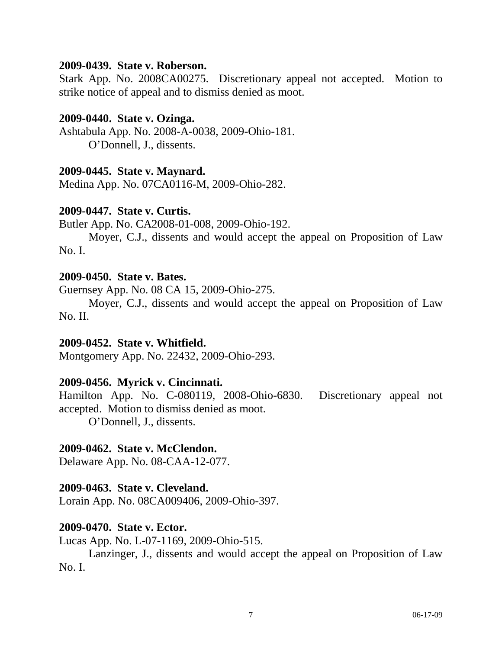#### **2009-0439. State v. Roberson.**

Stark App. No. 2008CA00275. Discretionary appeal not accepted. Motion to strike notice of appeal and to dismiss denied as moot.

#### **2009-0440. State v. Ozinga.**

Ashtabula App. No. 2008-A-0038, 2009-Ohio-181. O'Donnell, J., dissents.

#### **2009-0445. State v. Maynard.**

Medina App. No. 07CA0116-M, 2009-Ohio-282.

#### **2009-0447. State v. Curtis.**

Butler App. No. CA2008-01-008, 2009-Ohio-192.

 Moyer, C.J., dissents and would accept the appeal on Proposition of Law No. I.

#### **2009-0450. State v. Bates.**

Guernsey App. No. 08 CA 15, 2009-Ohio-275.

 Moyer, C.J., dissents and would accept the appeal on Proposition of Law No. II.

#### **2009-0452. State v. Whitfield.**

Montgomery App. No. 22432, 2009-Ohio-293.

# **2009-0456. Myrick v. Cincinnati.**

Hamilton App. No. C-080119, 2008-Ohio-6830. Discretionary appeal not accepted. Motion to dismiss denied as moot.

O'Donnell, J., dissents.

#### **2009-0462. State v. McClendon.**

Delaware App. No. 08-CAA-12-077.

#### **2009-0463. State v. Cleveland.**

Lorain App. No. 08CA009406, 2009-Ohio-397.

#### **2009-0470. State v. Ector.**

Lucas App. No. L-07-1169, 2009-Ohio-515.

 Lanzinger, J., dissents and would accept the appeal on Proposition of Law No. I.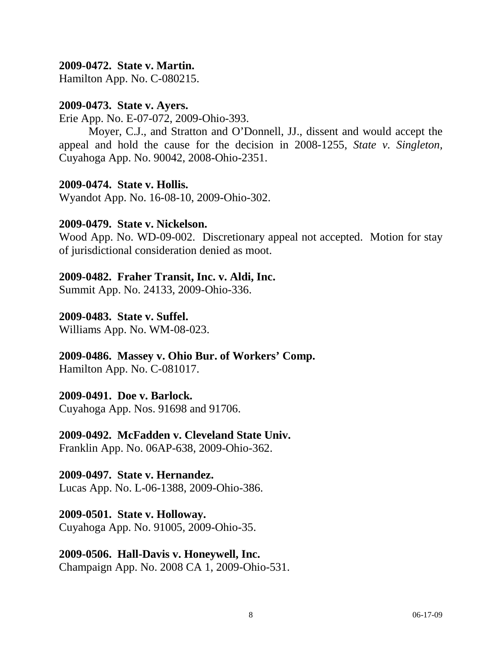## **2009-0472. State v. Martin.**

Hamilton App. No. C-080215.

#### **2009-0473. State v. Ayers.**

Erie App. No. E-07-072, 2009-Ohio-393.

 Moyer, C.J., and Stratton and O'Donnell, JJ., dissent and would accept the appeal and hold the cause for the decision in 2008-1255, *State v. Singleton,*  Cuyahoga App. No. 90042, 2008-Ohio-2351.

#### **2009-0474. State v. Hollis.**

Wyandot App. No. 16-08-10, 2009-Ohio-302.

#### **2009-0479. State v. Nickelson.**

Wood App. No. WD-09-002. Discretionary appeal not accepted. Motion for stay of jurisdictional consideration denied as moot.

#### **2009-0482. Fraher Transit, Inc. v. Aldi, Inc.**

Summit App. No. 24133, 2009-Ohio-336.

#### **2009-0483. State v. Suffel.**

Williams App. No. WM-08-023.

#### **2009-0486. Massey v. Ohio Bur. of Workers' Comp.**

Hamilton App. No. C-081017.

# **2009-0491. Doe v. Barlock.**

Cuyahoga App. Nos. 91698 and 91706.

#### **2009-0492. McFadden v. Cleveland State Univ.**

Franklin App. No. 06AP-638, 2009-Ohio-362.

#### **2009-0497. State v. Hernandez.**

Lucas App. No. L-06-1388, 2009-Ohio-386.

# **2009-0501. State v. Holloway.**

Cuyahoga App. No. 91005, 2009-Ohio-35.

#### **2009-0506. Hall-Davis v. Honeywell, Inc.**

Champaign App. No. 2008 CA 1, 2009-Ohio-531.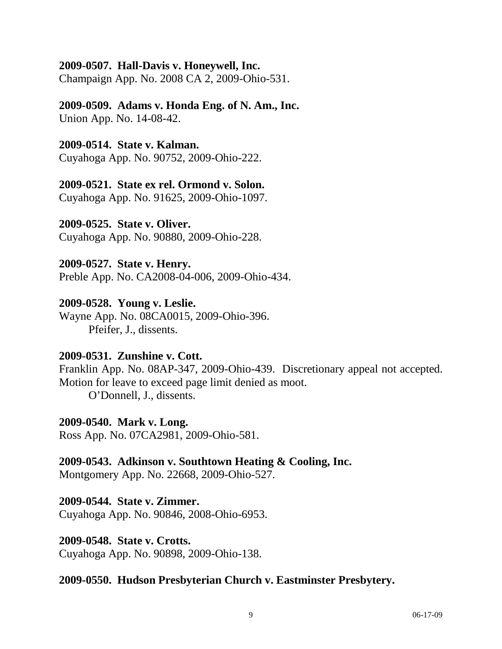#### **2009-0507. Hall-Davis v. Honeywell, Inc.**

Champaign App. No. 2008 CA 2, 2009-Ohio-531.

#### **2009-0509. Adams v. Honda Eng. of N. Am., Inc.**  Union App. No. 14-08-42.

## **2009-0514. State v. Kalman.**

Cuyahoga App. No. 90752, 2009-Ohio-222.

# **2009-0521. State ex rel. Ormond v. Solon.**

Cuyahoga App. No. 91625, 2009-Ohio-1097.

#### **2009-0525. State v. Oliver.**

Cuyahoga App. No. 90880, 2009-Ohio-228.

#### **2009-0527. State v. Henry.**

Preble App. No. CA2008-04-006, 2009-Ohio-434.

#### **2009-0528. Young v. Leslie.**

Wayne App. No. 08CA0015, 2009-Ohio-396. Pfeifer, J., dissents.

# **2009-0531. Zunshine v. Cott.**

Franklin App. No. 08AP-347, 2009-Ohio-439. Discretionary appeal not accepted. Motion for leave to exceed page limit denied as moot.

O'Donnell, J., dissents.

# **2009-0540. Mark v. Long.**

Ross App. No. 07CA2981, 2009-Ohio-581.

# **2009-0543. Adkinson v. Southtown Heating & Cooling, Inc.**

Montgomery App. No. 22668, 2009-Ohio-527.

# **2009-0544. State v. Zimmer.**

Cuyahoga App. No. 90846, 2008-Ohio-6953.

#### **2009-0548. State v. Crotts.**

Cuyahoga App. No. 90898, 2009-Ohio-138.

#### **2009-0550. Hudson Presbyterian Church v. Eastminster Presbytery.**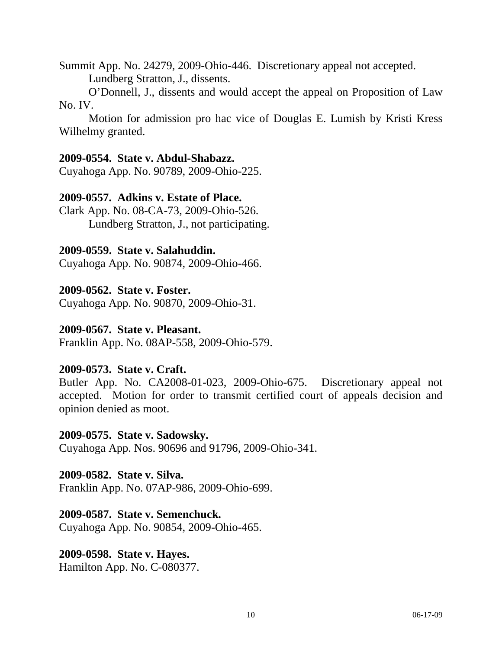Summit App. No. 24279, 2009-Ohio-446. Discretionary appeal not accepted.

Lundberg Stratton, J., dissents.

 O'Donnell, J., dissents and would accept the appeal on Proposition of Law No. IV.

 Motion for admission pro hac vice of Douglas E. Lumish by Kristi Kress Wilhelmy granted.

#### **2009-0554. State v. Abdul-Shabazz.**

Cuyahoga App. No. 90789, 2009-Ohio-225.

#### **2009-0557. Adkins v. Estate of Place.**

Clark App. No. 08-CA-73, 2009-Ohio-526. Lundberg Stratton, J., not participating.

## **2009-0559. State v. Salahuddin.**

Cuyahoga App. No. 90874, 2009-Ohio-466.

#### **2009-0562. State v. Foster.**

Cuyahoga App. No. 90870, 2009-Ohio-31.

#### **2009-0567. State v. Pleasant.**

Franklin App. No. 08AP-558, 2009-Ohio-579.

#### **2009-0573. State v. Craft.**

Butler App. No. CA2008-01-023, 2009-Ohio-675. Discretionary appeal not accepted. Motion for order to transmit certified court of appeals decision and opinion denied as moot.

#### **2009-0575. State v. Sadowsky.**

Cuyahoga App. Nos. 90696 and 91796, 2009-Ohio-341.

# **2009-0582. State v. Silva.**

Franklin App. No. 07AP-986, 2009-Ohio-699.

#### **2009-0587. State v. Semenchuck.**

Cuyahoga App. No. 90854, 2009-Ohio-465.

# **2009-0598. State v. Hayes.**

Hamilton App. No. C-080377.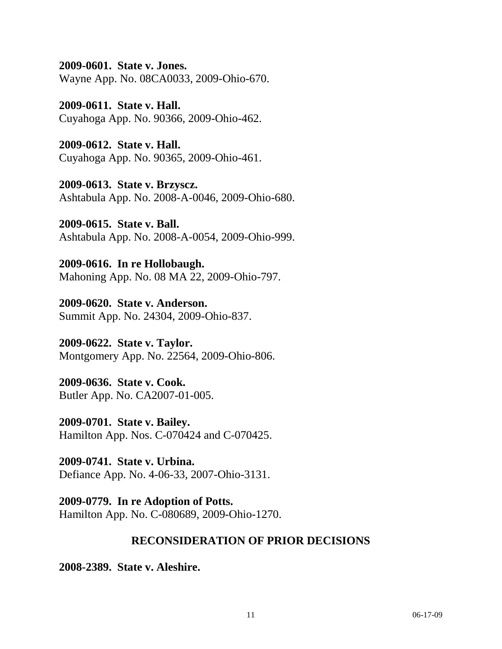**2009-0601. State v. Jones.** 

Wayne App. No. 08CA0033, 2009-Ohio-670.

**2009-0611. State v. Hall.**  Cuyahoga App. No. 90366, 2009-Ohio-462.

**2009-0612. State v. Hall.**  Cuyahoga App. No. 90365, 2009-Ohio-461.

**2009-0613. State v. Brzyscz.**  Ashtabula App. No. 2008-A-0046, 2009-Ohio-680.

**2009-0615. State v. Ball.**  Ashtabula App. No. 2008-A-0054, 2009-Ohio-999.

**2009-0616. In re Hollobaugh.**  Mahoning App. No. 08 MA 22, 2009-Ohio-797.

**2009-0620. State v. Anderson.**  Summit App. No. 24304, 2009-Ohio-837.

**2009-0622. State v. Taylor.**  Montgomery App. No. 22564, 2009-Ohio-806.

**2009-0636. State v. Cook.**  Butler App. No. CA2007-01-005.

**2009-0701. State v. Bailey.**  Hamilton App. Nos. C-070424 and C-070425.

**2009-0741. State v. Urbina.**  Defiance App. No. 4-06-33, 2007-Ohio-3131.

**2009-0779. In re Adoption of Potts.**  Hamilton App. No. C-080689, 2009-Ohio-1270.

# **RECONSIDERATION OF PRIOR DECISIONS**

**2008-2389. State v. Aleshire.**